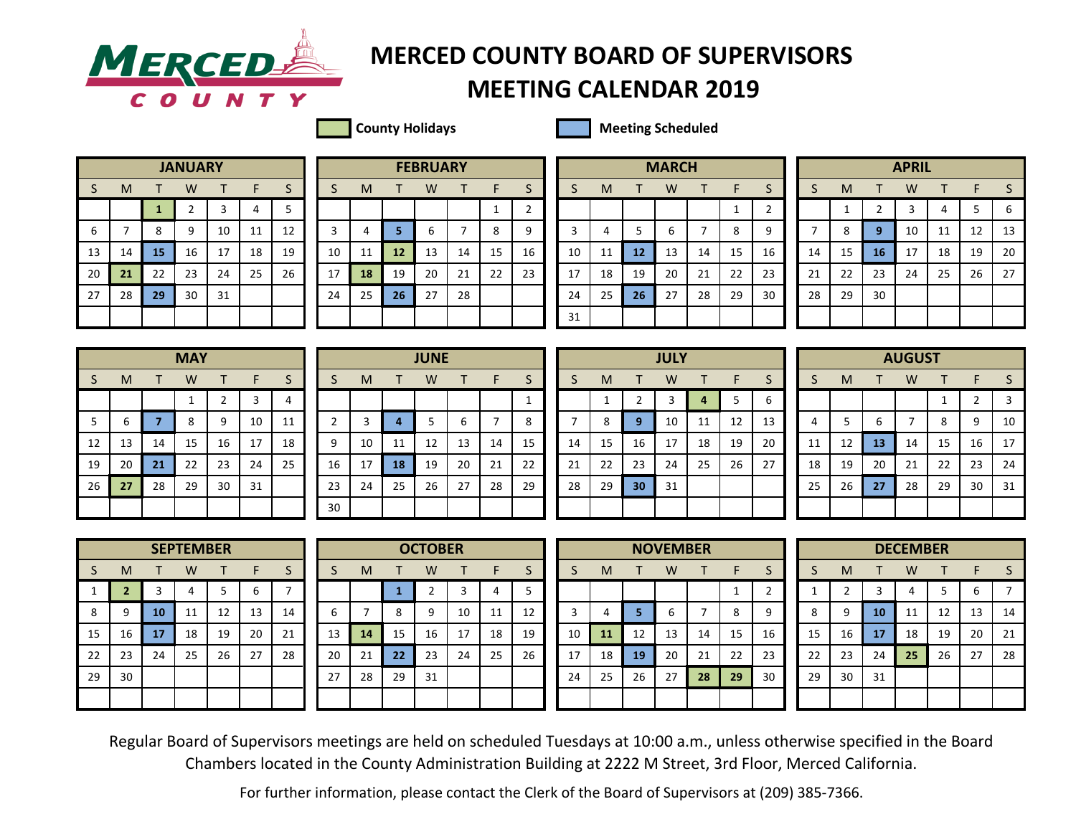

## **MERCEDER** MERCED COUNTY BOARD OF SUPERVISORS

## **MEETING CALENDAR 2019**

**County Holidays** Meeting Scheduled

|    | <b>JANUARY</b> |              |                |              |    |    |  |  |  |  |  |  |  |  |  |
|----|----------------|--------------|----------------|--------------|----|----|--|--|--|--|--|--|--|--|--|
| S  | M              | т            | W              | $\mathsf{T}$ | F  | S  |  |  |  |  |  |  |  |  |  |
|    |                | $\mathbf{1}$ | $\overline{2}$ | 3            | 4  | 5  |  |  |  |  |  |  |  |  |  |
| 6  | 7              | 8            | 9              | 10           | 11 | 12 |  |  |  |  |  |  |  |  |  |
| 13 | 14             | 15           | 16             | 17           | 18 | 19 |  |  |  |  |  |  |  |  |  |
| 20 | 21             | 22           | 23             | 24           | 25 | 26 |  |  |  |  |  |  |  |  |  |
| 27 | 28             | 29           | 30             | 31           |    |    |  |  |  |  |  |  |  |  |  |
|    |                |              |                |              |    |    |  |  |  |  |  |  |  |  |  |

|    |    |           | <b>JANUARY</b> |     |    |    |    |    |    | <b>FEBRUARY</b> |    |    |    |    |    |    | <b>MARCH</b> |    |    |    |    |    |    | <b>APRIL</b> |    |    |    |
|----|----|-----------|----------------|-----|----|----|----|----|----|-----------------|----|----|----|----|----|----|--------------|----|----|----|----|----|----|--------------|----|----|----|
| S. | м  |           | W              |     | ь. |    |    | M  |    | W               |    |    |    |    | M  |    | W            |    |    |    |    | м  |    | W            |    |    |    |
|    |    |           |                |     |    |    |    |    |    |                 |    |    | ∼  |    |    |    |              |    |    |    |    |    |    |              |    |    | b  |
| 6  |    | 8         | 9              | 10  | 11 | 12 |    | 4  |    |                 |    | 8  | q  |    |    |    | o            |    | 8  |    |    | 8  |    | 10           | 11 | 12 | 13 |
| 13 | 14 | <b>15</b> | 16             | 17  | 18 | 19 | 10 | 11 | 12 | 13              | 14 | 15 | 16 | 10 | 11 | 12 | 13           | 14 | 15 | 16 | 14 | 15 | 16 | 17           | 18 | 19 | 20 |
| 20 | 21 | 22        | 23             | 24  | 25 | 26 | 17 | 18 | 19 | 20              | 21 | 22 | 23 | 17 | 18 | 19 | 20           | 21 | 22 | 23 | 21 | 22 | 23 | 24           | 25 | 26 | 27 |
| 27 | 28 | 29        | 30             | -31 |    |    | 24 | 25 | 26 | 27              | 28 |    |    | 24 | 25 | 26 | 27           | 28 | 29 | 30 | 28 | 29 | 30 |              |    |    |    |
|    |    |           |                |     |    |    |    |    |    |                 |    |    |    | 31 |    |    |              |    |    |    |    |    |    |              |    |    |    |

|              |    |    | <b>MARCH</b> |              |    |                |
|--------------|----|----|--------------|--------------|----|----------------|
| S            | M  | т  | W            | $\mathsf{T}$ | F  | S              |
|              |    |    |              |              | 1  | $\overline{2}$ |
| $\mathbf{3}$ | 4  | 5  | 6            | 7            | 8  | 9              |
| 10           | 11 | 12 | 13           | 14           | 15 | 16             |
| 17           | 18 | 19 | 20           | 21           | 22 | 23             |
| 24           | 25 | 26 | 27           | 28           | 29 | 30             |
| 31           |    |    |              |              |    |                |
|              |    |    |              |              |    |                |

|    |    |    | <b>APRIL</b> |    |    |    |
|----|----|----|--------------|----|----|----|
| S  | M  | т  | W            | т  | F  | S  |
|    | 1  | 2  | 3            | 4  | 5  | 6  |
| 7  | 8  | 9  | 10           | 11 | 12 | 13 |
| 14 | 15 | 16 | 17           | 18 | 19 | 20 |
| 21 | 22 | 23 | 24           | 25 | 26 | 27 |
| 28 | 29 | 30 |              |    |    |    |
|    |    |    |              |    |    |    |

|    |    |                | <b>MAY</b> |                |    |              |
|----|----|----------------|------------|----------------|----|--------------|
| S  | M  | т              | W          | т              | F  | $\mathsf{S}$ |
|    |    |                | 1          | $\overline{2}$ | 3  | 4            |
| 5  | 6  | $\overline{7}$ | 8          | 9              | 10 | 11           |
| 12 | 13 | 14             | 15         | 16             | 17 | 18           |
| 19 | 20 | 21             | 22         | 23             | 24 | 25           |
| 26 | 27 | 28             | 29         | 30             | 31 |              |
|    |    |                |            |                |    |              |

|       |    |    | <b>MAY</b> |    |    |    |    |    |    | <b>JUNE</b> |    |    |    |    |    |                 | <b>JULY</b> |    |    |    |    |    |    | <b>AUGUST</b> |    |    |    |
|-------|----|----|------------|----|----|----|----|----|----|-------------|----|----|----|----|----|-----------------|-------------|----|----|----|----|----|----|---------------|----|----|----|
| S.    | M  |    | w          |    | F  | C  |    | M  |    | W           |    |    | э  |    | M  |                 | W           |    |    |    |    | M  |    | W             |    |    |    |
|       |    |    |            |    |    | 4  |    |    |    |             |    |    |    |    |    |                 |             |    | 5  |    |    |    |    |               |    |    |    |
| $5 -$ | ь  |    | 8          | q  | 10 | 11 |    |    |    |             | 6  |    | 8  |    | 8  | 9               | 10          | ᆠ  | 12 | 13 | 4  |    | h  |               | 8  | q  | 10 |
| 12    | 13 | 14 | 15         | 16 | 17 | 18 | 9  | 10 | 11 | 12          | 13 | 14 | 15 | 14 | 15 | 16              | 17          | 18 | 19 | 20 | 11 | 12 | 13 | 14            | 15 | 16 | 17 |
| 19    | 20 | 21 | 22         | 23 | 24 | 25 | 16 | 17 | 18 | 19          | 20 | 21 | 22 | 21 | 22 | 23              | 24          | 25 | 26 | 27 | 18 | 19 | 20 | 21            | 22 | 23 | 24 |
| 26    | 27 | 28 | 29         | 30 | 31 |    | 23 | 24 | 25 | 26          | 27 | 28 | 29 | 28 | 29 | 30 <sup>°</sup> | 31          |    |    |    | 25 | 26 | 27 | 28            | 29 | 30 | 31 |
|       |    |    |            |    |    |    | 30 |    |    |             |    |    |    |    |    |                 |             |    |    |    |    |    |    |               |    |    |    |

|    |             |                         | <b>JULY</b> |                |    |    |
|----|-------------|-------------------------|-------------|----------------|----|----|
| S  | M           | т                       | W           | T              | F  | S  |
|    | $\mathbf 1$ | $\overline{\mathbf{c}}$ | 3           | $\overline{4}$ | 5  | 6  |
| 7  | 8           | 9                       | 10          | 11             | 12 | 13 |
| 14 | 15          | 16                      | 17          | 18             | 19 | 20 |
| 21 | 22          | 23                      | 24          | 25             | 26 | 27 |
| 28 | 29          | 30                      | 31          |                |    |    |
|    |             |                         |             |                |    |    |

|    |    |    | <b>AUGUST</b> |    |    |    |
|----|----|----|---------------|----|----|----|
| S  | M  | Т  | W             | T  | F  | S  |
|    |    |    |               | 1  | 2  | 3  |
| 4  | 5  | 6  | 7             | 8  | 9  | 10 |
| 11 | 12 | 13 | 14            | 15 | 16 | 17 |
| 18 | 19 | 20 | 21            | 22 | 23 | 24 |
| 25 | 26 | 27 | 28            | 29 | 30 | 31 |
|    |    |    |               |    |    |    |

|              |                |    | <b>SEPTEMBER</b> |    |    |    |
|--------------|----------------|----|------------------|----|----|----|
| S            | M              | т  | W                | т  | F  | S  |
| $\mathbf{1}$ | $\overline{2}$ | 3  | 4                | 5  | 6  |    |
| 8            | 9              | 10 | 11               | 12 | 13 | 14 |
| 15           | 16             | 17 | 18               | 19 | 20 | 21 |
| 22           | 23             | 24 | 25               | 26 | 27 | 28 |
| 29           | 30             |    |                  |    |    |    |
|              |                |    |                  |    |    |    |

|    |    |    | <b>SEPTEMBER</b> |    |    |    |    |    |              | <b>OCTOBER</b> |    |    |    |    |    |    | <b>NOVEMBER</b> |    |    |    |    |    |    | <b>DECEMBER</b> |    |    |    |
|----|----|----|------------------|----|----|----|----|----|--------------|----------------|----|----|----|----|----|----|-----------------|----|----|----|----|----|----|-----------------|----|----|----|
| S. | M  |    | W                |    | ь  |    |    | M  |              | W              |    |    |    |    | M  |    | W               |    |    |    |    | М  |    | W               |    |    |    |
|    |    |    |                  |    | h  |    |    |    |              |                |    |    |    |    |    |    |                 |    |    |    |    |    |    |                 |    | h  |    |
| 8  |    | 10 | 11               | 12 | 13 | 14 | h  |    | $\circ$      | q              | 10 | 11 | 12 |    |    |    |                 |    | 8  |    | 8  | q  | 10 | 11              | 12 | 13 | 14 |
| 15 | 16 | 17 | 18               | 19 | 20 | 21 | 13 | 14 | 15           | 16             | 17 | 18 | 19 | 10 | 11 | 12 | 13              | 14 | 15 | 16 | 15 | 16 | 17 | 18              | 19 | 20 | 21 |
| 22 | 23 | 24 | 25               | 26 | 27 | 28 | 20 | 21 | $22^{\circ}$ | 23             | 24 | 25 | 26 | 17 | 18 | 19 | 20              | 21 | 22 | 23 | 22 | 23 | 24 | 25              | 26 | 27 | 28 |
| 29 | 30 |    |                  |    |    |    | 27 | 28 | 29           | 31             |    |    |    | 24 | 25 | 26 | 27              | 28 | 29 | 30 | 29 | 30 | 31 |                 |    |    |    |
|    |    |    |                  |    |    |    |    |    |              |                |    |    |    |    |    |    |                 |    |    |    |    |    |    |                 |    |    |    |

|                |    |    | <b>NOVEMBER</b> |    |              |                |
|----------------|----|----|-----------------|----|--------------|----------------|
| S              | M  | T  | W               | т  | F            | S              |
|                |    |    |                 |    | $\mathbf{1}$ | $\overline{a}$ |
| $\overline{3}$ | 4  | 5  | 6               | 7  | 8            | g              |
| 10             | 11 | 12 | 13              | 14 | 15           | 1(             |
| 17             | 18 | 19 | 20              | 21 | 22           | 2:             |
| 24             | 25 | 26 | 27              | 28 | 29           | $\overline{3}$ |
|                |    |    |                 |    |              |                |

|    |                |    | <b>DECEMBER</b> |    |    |    |
|----|----------------|----|-----------------|----|----|----|
| S  | M              | т  | W               | т  | F  | S  |
| 1  | $\overline{2}$ | 3  | 4               | 5  | 6  | 7  |
| 8  | 9              | 10 | 11              | 12 | 13 | 14 |
| 15 | 16             | 17 | 18              | 19 | 20 | 21 |
| 22 | 23             | 24 | 25              | 26 | 27 | 28 |
| 29 | 30             | 31 |                 |    |    |    |
|    |                |    |                 |    |    |    |

Regular Board of Supervisors meetings are held on scheduled Tuesdays at 10:00 a.m., unless otherwise specified in the Board Chambers located in the County Administration Building at 2222 M Street, 3rd Floor, Merced California.

For further information, please contact the Clerk of the Board of Supervisors at (209) 385-7366.